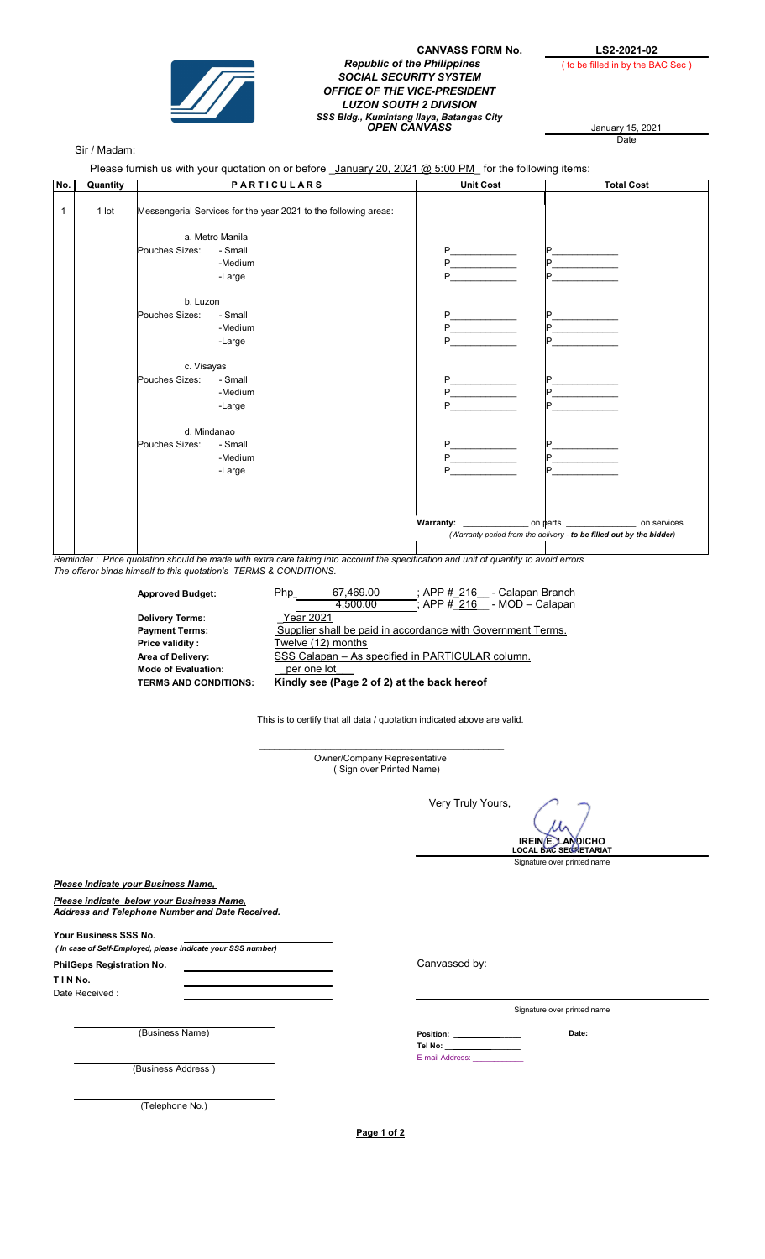

## CANVASS FORM No.  $\begin{array}{r} \text{LS2-2021-02} \\ \text{Replace} \end{array}$ SOCIAL SECURITY SYSTEM OFFICE OF THE VICE-PRESIDENT LUZON SOUTH 2 DIVISION SSS Bidg., Kumintang Ilaya, Batangas City<br>**OPEN CANVASS** January 15, 2021

( to be filled in by the BAC Sec )

January 15, 2021<br>Date

## Sir / Madam:

Please furnish us with your quotation on or before January 20, 2021 @ 5:00 PM for the following items:

| No.          | Quantity |                                                                 | <b>PARTICULARS</b> | <b>Unit Cost</b> | <b>Total Cost</b>                                                    |
|--------------|----------|-----------------------------------------------------------------|--------------------|------------------|----------------------------------------------------------------------|
| $\mathbf{1}$ | 1 lot    | Messengerial Services for the year 2021 to the following areas: |                    |                  |                                                                      |
|              |          | a. Metro Manila                                                 |                    |                  |                                                                      |
|              |          | Pouches Sizes:                                                  | - Small            | P                | Þ                                                                    |
|              |          |                                                                 | -Medium            | P                |                                                                      |
|              |          |                                                                 | -Large             | P                |                                                                      |
|              |          | b. Luzon                                                        |                    |                  |                                                                      |
|              |          | Pouches Sizes:                                                  | - Small            | P                | D                                                                    |
|              |          |                                                                 | -Medium            | P                | Þ                                                                    |
|              |          |                                                                 | -Large             | P                | D                                                                    |
|              |          | c. Visayas                                                      |                    |                  |                                                                      |
|              |          | Pouches Sizes:                                                  | - Small            | P                | D.                                                                   |
|              |          |                                                                 | -Medium            | P                |                                                                      |
|              |          |                                                                 | -Large             | Þ                |                                                                      |
|              |          | d. Mindanao                                                     |                    |                  |                                                                      |
|              |          | Pouches Sizes:                                                  | - Small            | P                | Þ                                                                    |
|              |          |                                                                 | -Medium            | P                | D.                                                                   |
|              |          |                                                                 | -Large             | P                |                                                                      |
|              |          |                                                                 |                    |                  |                                                                      |
|              |          |                                                                 |                    |                  |                                                                      |
|              |          |                                                                 |                    | Warranty:        | on parts ___________<br>on services                                  |
|              |          |                                                                 |                    |                  | (Warranty period from the delivery - to be filled out by the bidder) |

Reminder : Price quotation should be made with extra care taking into account the specification and unit of quantity to avoid errors The offeror binds himself to this quotation's TERMS & CONDITIONS.

| <b>Approved Budget:</b>      | : APP # 216<br>- Calapan Branch<br>67,469.00<br>Php         |
|------------------------------|-------------------------------------------------------------|
|                              | $\div$ APP # 216 - MOD - Calapan<br>4.500.00                |
| <b>Delivery Terms:</b>       | Year 2021                                                   |
| <b>Payment Terms:</b>        | Supplier shall be paid in accordance with Government Terms. |
| Price validity:              | Twelve (12) months                                          |
| Area of Delivery:            | SSS Calapan - As specified in PARTICULAR column.            |
| <b>Mode of Evaluation:</b>   | per one lot                                                 |
| <b>TERMS AND CONDITIONS:</b> | Kindly see (Page 2 of 2) at the back hereof                 |
|                              |                                                             |

This is to certify that all data / quotation indicated above are valid.

 $\mathcal{L}_\text{max}$  and  $\mathcal{L}_\text{max}$  and  $\mathcal{L}_\text{max}$  and  $\mathcal{L}_\text{max}$ Owner/Company Representative ( Sign over Printed Name)

Very Truly Yours,

IREIN E. LANDICHO LOCAL BAC SECRETARIAT

Signature over printed name

Please Indicate your Business Name,

Please indicate below your Business Name, Address and Telephone Number and Date Received.

Your Business SSS No.

 ( In case of Self-Employed, please indicate your SSS number) T I N No. PhilGeps Registration No.

Date Received :

(Business Name) 2014

Canvassed by:

E-mail Address: \_\_\_\_\_\_\_\_\_\_\_\_

Position: \_ Tel No:  $_$ 

Signature over printed name

(Business Address )

(Telephone No.)

Page 1 of 2